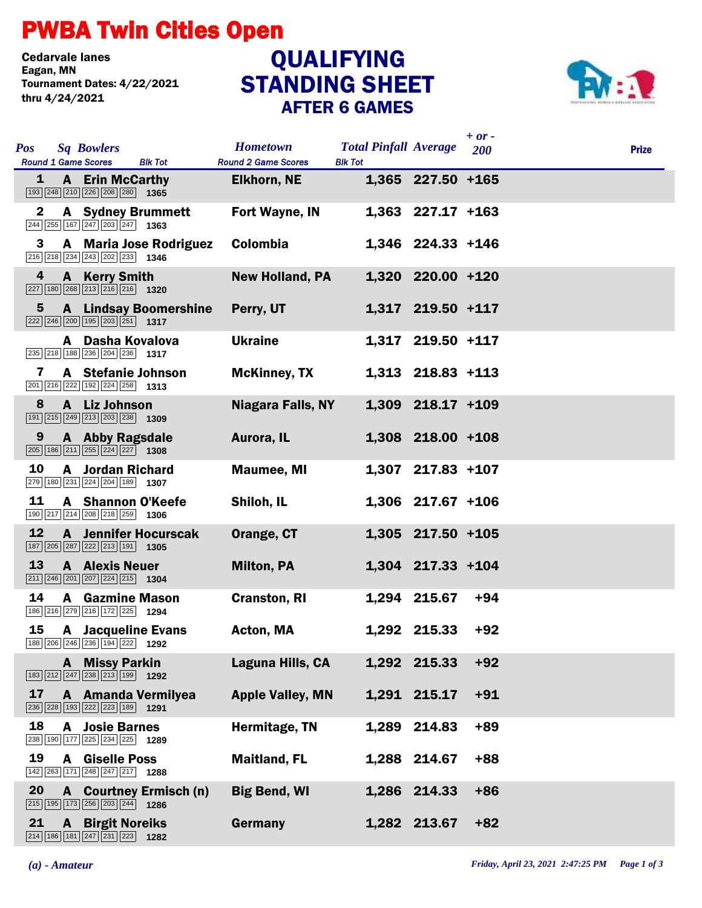## PWBA Twin Cities Open

Cedarvale lanes<br>Eagan, MN Tournament Dates: 4/22/2021 thru 4/24/2021

## STANDING SHEET AFTER 6 GAMES **QUALIFYING**



| <b>Pos</b><br><b>Sq Bowlers</b><br><b>Round 1 Game Scores</b><br><b>Blk Tot</b>                                                                    | <b>Hometown</b><br><b>Round 2 Game Scores</b> | <b>Total Pinfall Average</b><br><b>Blk Tot</b> | $+ or -$<br>200     | <b>Prize</b> |
|----------------------------------------------------------------------------------------------------------------------------------------------------|-----------------------------------------------|------------------------------------------------|---------------------|--------------|
| 1<br><b>A</b> Erin McCarthy<br>193 248 210 226 208 280 1365                                                                                        | <b>Elkhorn, NE</b>                            |                                                | 1,365 227.50 +165   |              |
| $\mathbf{2}$<br><b>A</b> Sydney Brummett<br>$\boxed{244}\boxed{255}\boxed{167}\boxed{247}\boxed{203}\boxed{247}$ 1363                              | <b>Fort Wayne, IN</b>                         |                                                | $1,363$ 227.17 +163 |              |
| <b>A</b> Maria Jose Rodriguez<br>3<br>216 218 234 243 202 233 1346                                                                                 | <b>Colombia</b>                               |                                                | 1,346 224.33 +146   |              |
| 4<br>A Kerry Smith<br>$\boxed{227}$ 180 $\boxed{268}$ $\boxed{213}$ $\boxed{216}$ $\boxed{216}$ 1320                                               | <b>New Holland, PA</b>                        |                                                | 1,320 220.00 +120   |              |
| <b>A</b> Lindsay Boomershine<br>$5\phantom{.0}$<br>$\boxed{222}$ $\boxed{246}$ $\boxed{200}$ $\boxed{195}$ $\boxed{203}$ $\boxed{251}$ <b>1317</b> | Perry, UT                                     |                                                | 1,317 219.50 +117   |              |
| A Dasha Kovalova<br>235 218 188 236 204 236 1317                                                                                                   | <b>Ukraine</b>                                |                                                | 1,317 219.50 +117   |              |
| A Stefanie Johnson<br>7<br>201 216 222 192 224 258 1313                                                                                            | <b>McKinney, TX</b>                           |                                                | 1,313 218.83 +113   |              |
| 8<br>A Liz Johnson<br>191 215 249 213 203 238 1309                                                                                                 | Niagara Falls, NY                             |                                                | 1,309 218.17 +109   |              |
| <b>A</b> Abby Ragsdale<br>9<br>$\boxed{205}$ 186 $\boxed{211}$ $\boxed{255}$ $\boxed{224}$ $\boxed{227}$ 1308                                      | Aurora, IL                                    |                                                | 1,308 218.00 +108   |              |
| 10<br><b>A</b> Jordan Richard<br>279 180 231 224 204 189 1307                                                                                      | <b>Maumee, MI</b>                             |                                                | 1,307 217.83 +107   |              |
| 11<br>A Shannon O'Keefe<br>190 217 214 208 218 259 1306                                                                                            | Shiloh, IL                                    |                                                | $1,306$ 217.67 +106 |              |
| 12<br><b>A</b> Jennifer Hocurscak<br>187 205 287 222 213 191 1305                                                                                  | Orange, CT                                    |                                                | $1,305$ 217.50 +105 |              |
| 13<br><b>A</b> Alexis Neuer<br>$\boxed{211}$ $\boxed{246}$ $\boxed{201}$ $\boxed{207}$ $\boxed{224}$ $\boxed{215}$ <b>1304</b>                     | <b>Milton, PA</b>                             |                                                | $1,304$ 217.33 +104 |              |
| 14<br>A<br><b>Gazmine Mason</b><br>186 216 279 216 172 225<br>1294                                                                                 | <b>Cranston, RI</b>                           | 1,294 215.67                                   | $+94$               |              |
| 15<br><b>A</b> Jacqueline Evans<br>188 206 246 236 194 222 1292                                                                                    | Acton, MA                                     | 1,292 215.33                                   | $+92$               |              |
| A Missy Parkin<br>$\boxed{183}\boxed{212}\boxed{247}\boxed{238}\boxed{213}\boxed{199}$ 1292                                                        | Laguna Hills, CA                              | 1,292 215.33                                   | $+92$               |              |
| 17<br>A Amanda Vermilyea<br>236 228 193 222 223 189 1291                                                                                           | <b>Apple Valley, MN</b>                       | 1,291 215.17                                   | $+91$               |              |
| 18<br><b>A</b> Josie Barnes<br>238 190 177 225 234 225 1289                                                                                        | Hermitage, TN                                 | 1,289 214.83                                   | $+89$               |              |
| 19<br><b>A</b> Giselle Poss<br>142 263 171 248 247 217 1288                                                                                        | <b>Maitland, FL</b>                           | 1,288 214.67                                   | $+88$               |              |
| 20<br>A Courtney Ermisch (n)<br>215 195 173 256 203 244<br>1286                                                                                    | <b>Big Bend, WI</b>                           | 1,286 214.33                                   | $+86$               |              |
| 21<br><b>A</b> Birgit Noreiks<br>214 186 181 247 231 223 1282                                                                                      | Germany                                       | 1,282 213.67                                   | $+82$               |              |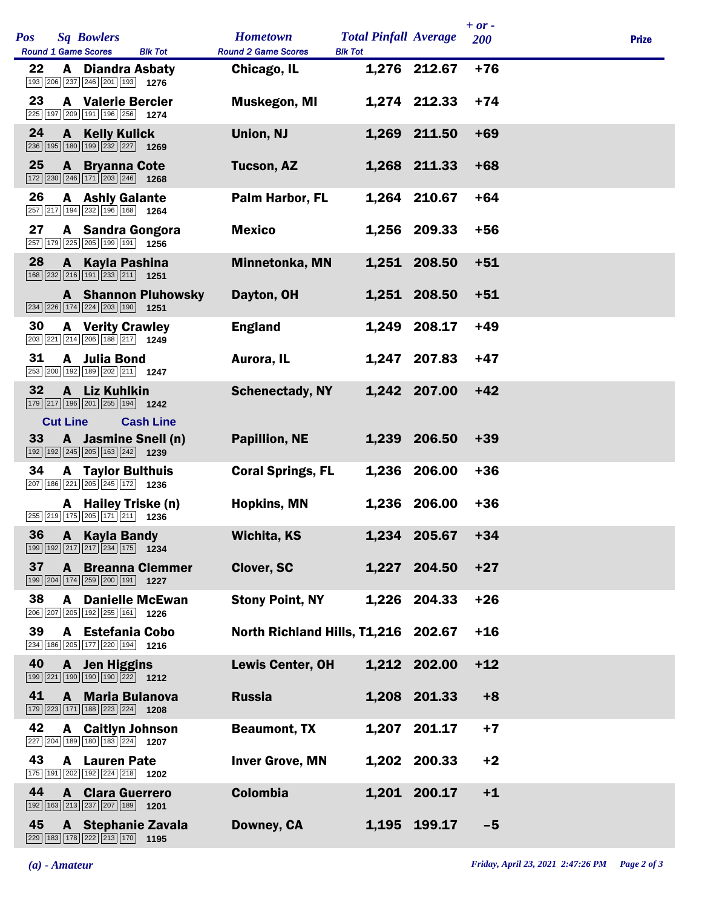| <b>Pos</b> |                 | <b>Sq Bowlers</b><br><b>Round 1 Game Scores</b>                                                                          | <b>Blk Tot</b>                          | <b>Hometown</b><br><b>Round 2 Game Scores</b> | <b>Total Pinfall Average</b><br><b>Blk Tot</b> |              | $+ or -$<br>200 | <b>Prize</b> |
|------------|-----------------|--------------------------------------------------------------------------------------------------------------------------|-----------------------------------------|-----------------------------------------------|------------------------------------------------|--------------|-----------------|--------------|
| 22         | A               | <b>Diandra Asbaty</b><br>193 206 237 246 201 193 1276                                                                    |                                         | Chicago, IL                                   |                                                | 1,276 212.67 | $+76$           |              |
| 23         |                 | <b>A</b> Valerie Bercier<br>225 197 209 191 196 256 1274                                                                 |                                         | <b>Muskegon, MI</b>                           |                                                | 1,274 212.33 | $+74$           |              |
| 24         |                 | <b>A</b> Kelly Kulick<br>236 195 180 199 232 227 1269                                                                    |                                         | <b>Union, NJ</b>                              |                                                | 1,269 211.50 | $+69$           |              |
| 25         |                 | <b>A</b> Bryanna Cote<br>$\boxed{172}$ $\boxed{230}$ $\boxed{246}$ $\boxed{171}$ $\boxed{203}$ $\boxed{246}$ <b>1268</b> |                                         | <b>Tucson, AZ</b>                             |                                                | 1,268 211.33 | $+68$           |              |
| 26         |                 | <b>A</b> Ashly Galante<br>257 217 194 232 196 168 1264                                                                   |                                         | Palm Harbor, FL                               |                                                | 1,264 210.67 | $+64$           |              |
| 27         |                 | A Sandra Gongora<br>257 179 225 205 199 191 1256                                                                         |                                         | <b>Mexico</b>                                 |                                                | 1,256 209.33 | $+56$           |              |
| 28         |                 | A Kayla Pashina<br>$\boxed{168}\boxed{232}\boxed{216}\boxed{191}\boxed{233}\boxed{211}$ 1251                             |                                         | <b>Minnetonka, MN</b>                         |                                                | 1,251 208.50 | $+51$           |              |
|            |                 | 234 226 174 224 203 190 1251                                                                                             | <b>A</b> Shannon Pluhowsky              | Dayton, OH                                    |                                                | 1,251 208.50 | $+51$           |              |
| 30         |                 | <b>A</b> Verity Crawley<br>$\boxed{203}$ $\boxed{221}$ $\boxed{214}$ $\boxed{206}$ $\boxed{188}$ $\boxed{217}$ 1249      |                                         | <b>England</b>                                |                                                | 1,249 208.17 | $+49$           |              |
| 31         |                 | A Julia Bond<br>253 200 192 189 202 211 1247                                                                             |                                         | Aurora, IL                                    |                                                | 1,247 207.83 | $+47$           |              |
| 32         |                 | A Liz Kuhlkin<br>179 217 196 201 255 194 1242                                                                            |                                         | <b>Schenectady, NY</b>                        |                                                | 1,242 207.00 | $+42$           |              |
| 33         | <b>Cut Line</b> | $\boxed{192}$ $\boxed{192}$ $\boxed{245}$ $\boxed{205}$ $\boxed{163}$ $\boxed{242}$ <b>1239</b>                          | <b>Cash Line</b><br>A Jasmine Snell (n) | <b>Papillion, NE</b>                          |                                                | 1,239 206.50 | $+39$           |              |
| 34         |                 | <b>A</b> Taylor Bulthuis<br>$\boxed{207}$ 186 221 205 245 172 1236                                                       |                                         | <b>Coral Springs, FL</b>                      |                                                | 1,236 206.00 | $+36$           |              |
|            |                 | A Hailey Triske (n)<br>$\overline{255}$ $\overline{219}$ 175 $\overline{205}$ 171 $\overline{211}$ 1236                  |                                         | <b>Hopkins, MN</b>                            |                                                | 1,236 206.00 | $+36$           |              |
|            |                 | 36 A Kayla Bandy<br>$\boxed{199}$ $\boxed{192}$ $\boxed{217}$ $\boxed{217}$ $\boxed{234}$ $\boxed{175}$ 1234             |                                         | <b>Wichita, KS</b>                            |                                                | 1,234 205.67 | $+34$           |              |
| 37         |                 | 199 204 174 259 200 191 1227                                                                                             | <b>A</b> Breanna Clemmer                | <b>Clover, SC</b>                             |                                                | 1,227 204.50 | $+27$           |              |
| 38         | A               | 206 207 205 192 255 161 1226                                                                                             | <b>Danielle McEwan</b>                  | <b>Stony Point, NY</b>                        |                                                | 1,226 204.33 | $+26$           |              |
| 39         |                 | A Estefania Cobo<br>234 186 205 177 220 194 1216                                                                         |                                         | North Richland Hills, T1,216 202.67           |                                                |              | $+16$           |              |
| 40         |                 | A Jen Higgins<br>199 221 190 190 190 222 1212                                                                            |                                         | <b>Lewis Center, OH</b>                       |                                                | 1,212 202.00 | $+12$           |              |
| 41         |                 | A Maria Bulanova<br>179 223 171 188 223 224 1208                                                                         |                                         | <b>Russia</b>                                 |                                                | 1,208 201.33 | $+8$            |              |
| 42         | A               | <b>Caitlyn Johnson</b><br>227 204 189 180 183 224 1207                                                                   |                                         | <b>Beaumont, TX</b>                           |                                                | 1,207 201.17 | $+7$            |              |
| 43         |                 | <b>A</b> Lauren Pate<br>175 191 202 192 224 218 1202                                                                     |                                         | <b>Inver Grove, MN</b>                        |                                                | 1,202 200.33 | $+2$            |              |
| 44         |                 | <b>A</b> Clara Guerrero<br>192 163 213 237 207 189 1201                                                                  |                                         | <b>Colombia</b>                               |                                                | 1,201 200.17 | $+1$            |              |
| 45         |                 | 229 183 178 222 213 170 1195                                                                                             | <b>A</b> Stephanie Zavala               | Downey, CA                                    |                                                | 1,195 199.17 | $-5$            |              |